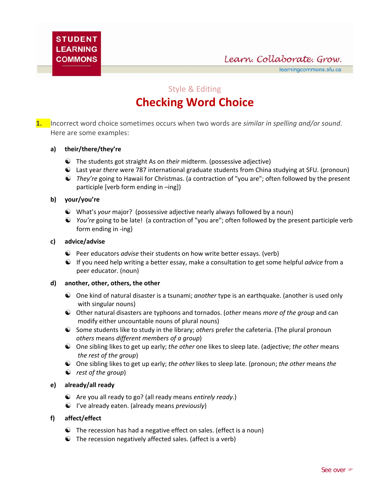Learn. Collaborate. Grow.

learningcommons.sfu.ca

Style & Editing

# **Checking Word Choice**

**1.** Incorrect word choice sometimes occurs when two words are *similar in spelling and/or sound*. Here are some examples:

# **a) their/there/they're**

- ☯ The students got straight As on *their* midterm. (possessive adjective)
- ☯ Last year *there* were 787 international graduate students from China studying at SFU. (pronoun)
- ☯ *They're* going to Hawaii for Christmas. (a contraction of "you are"; often followed by the present participle [verb form ending in –ing])

### **b) your/you're**

- ☯ What's *your* major? (possessive adjective nearly always followed by a noun)
- ☯ *You're* going to be late!(a contraction of "you are"; often followed by the present participle verb form ending in ‐ing)

### **c) advice/advise**

- ☯ Peer educators *advise* their students on how write better essays. (verb)
- ☯ If you need help writing a better essay, make a consultation to get some helpful *advice* from a peer educator. (noun)

### **d) another, other, others, the other**

- ☯ One kind of natural disaster is a tsunami; *another* type is an earthquake. (another is used only with singular nouns)
- ☯ Other natural disasters are typhoons and tornados. (*other* means *more of the group* and can modify either uncountable nouns of plural nouns)
- ☯ Some students like to study in the library; *others* prefer the cafeteria. (The plural pronoun *others* means *different members of a group*)
- ☯ One sibling likes to get up early; *the other* one likes to sleep late. (adjective; *the other* means *the rest of the group*)
- ☯ One sibling likes to get up early; *the other* likes to sleep late. (pronoun; *the other* means *the*
- ☯ *rest of the group*)

### **e) already/all ready**

- ☯ Are you all ready to go? (all ready means *entirely ready*.)
- ☯ I've already eaten. (already means *previously*)

### **f) affect/effect**

- $\bullet$  The recession has had a negative effect on sales. (effect is a noun)
- $\odot$  The recession negatively affected sales. (affect is a verb)